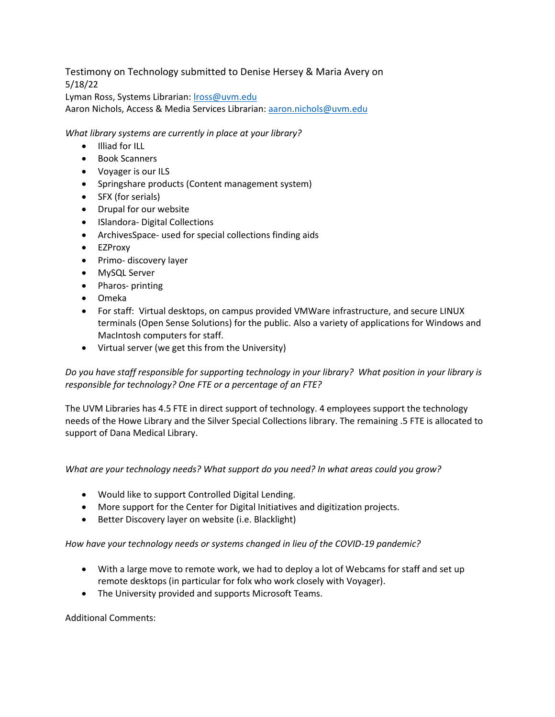## Testimony on Technology submitted to Denise Hersey & Maria Avery on 5/18/22

Lyman Ross, Systems Librarian: [lross@uvm.edu](mailto:lross@uvm.edu)

Aaron Nichols, Access & Media Services Librarian: [aaron.nichols@uvm.edu](mailto:aaron.nichols@uvm.edu)

*What library systems are currently in place at your library?*

- Illiad for ILL
- Book Scanners
- Voyager is our ILS
- Springshare products (Content management system)
- SFX (for serials)
- Drupal for our website
- ISlandora- Digital Collections
- ArchivesSpace- used for special collections finding aids
- EZProxy
- Primo- discovery layer
- MySQL Server
- Pharos- printing
- Omeka
- For staff: Virtual desktops, on campus provided VMWare infrastructure, and secure LINUX terminals (Open Sense Solutions) for the public. Also a variety of applications for Windows and MacIntosh computers for staff.
- Virtual server (we get this from the University)

*Do you have staff responsible for supporting technology in your library? What position in your library is responsible for technology? One FTE or a percentage of an FTE?*

The UVM Libraries has 4.5 FTE in direct support of technology. 4 employees support the technology needs of the Howe Library and the Silver Special Collections library. The remaining .5 FTE is allocated to support of Dana Medical Library.

*What are your technology needs? What support do you need? In what areas could you grow?*

- Would like to support Controlled Digital Lending.
- More support for the Center for Digital Initiatives and digitization projects.
- Better Discovery layer on website (i.e. Blacklight)

*How have your technology needs or systems changed in lieu of the COVID-19 pandemic?*

- With a large move to remote work, we had to deploy a lot of Webcams for staff and set up remote desktops (in particular for folx who work closely with Voyager).
- The University provided and supports Microsoft Teams.

Additional Comments: